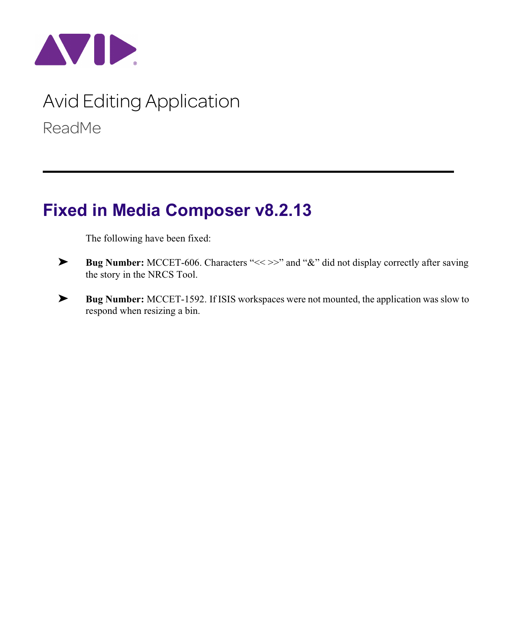

# Avid Editing Application ReadMe

## **Fixed in Media Composer v8.2.13**

The following have been fixed:

- ➤ **Bug Number:** MCCET-606. Characters "<< >>" and "&" did not display correctly after saving the story in the NRCS Tool.
- ➤ **Bug Number:** MCCET-1592. If ISIS workspaces were not mounted, the application was slow to respond when resizing a bin.